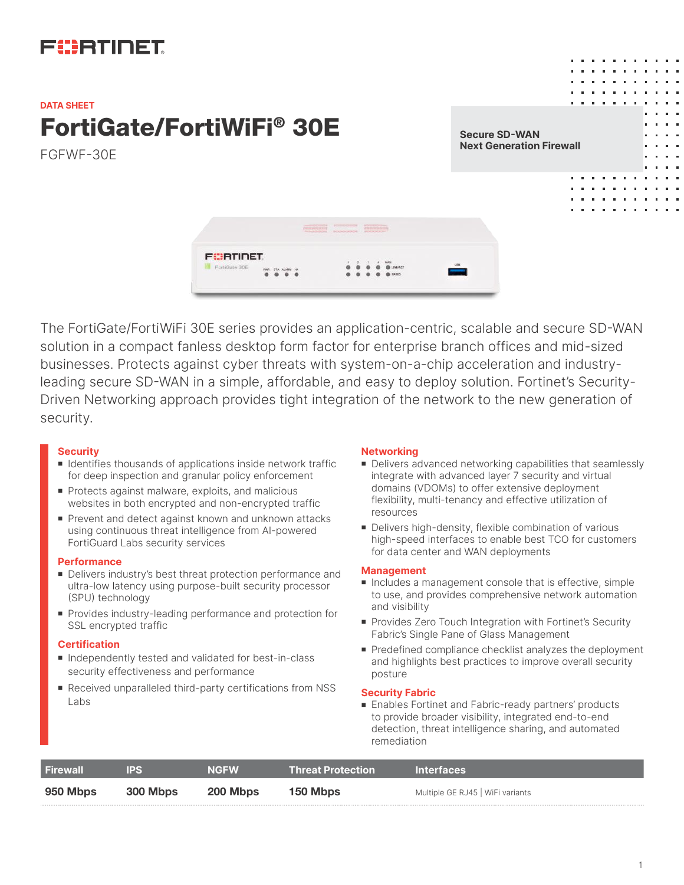

# FortiGate/FortiWiFi® 30E **DATA SHEET**

FGFWF-30E

**Secure SD-WAN Next Generation Firewall**

**Contract Contract**  $\mathbf{u}=\mathbf{u}+\mathbf{u}$ **Contractor** 

> $\alpha=0$  $\mathbf{u}$  $\mathbf{u}=\mathbf{u}$  $\alpha = \alpha$

the contract of the contract of the

|                 |     |              | <b>PERMIT FOR DIST !!</b> |                       |  |                        |                         |     |
|-----------------|-----|--------------|---------------------------|-----------------------|--|------------------------|-------------------------|-----|
|                 |     |              | <b>HERESARE</b>           | <b>Report Follows</b> |  | <b><i>ROBINSON</i></b> |                         |     |
|                 |     |              |                           |                       |  |                        |                         |     |
| <b>FEBTINET</b> |     |              |                           |                       |  |                        |                         |     |
| FortiGate 30E   | PWR | STA ALARM HA |                           |                       |  |                        | WAN<br><b>BLINKINCT</b> | USB |
|                 |     |              |                           |                       |  |                        | @ SPEED                 |     |

The FortiGate/FortiWiFi 30E series provides an application-centric, scalable and secure SD-WAN solution in a compact fanless desktop form factor for enterprise branch offices and mid-sized businesses. Protects against cyber threats with system-on-a-chip acceleration and industryleading secure SD-WAN in a simple, affordable, and easy to deploy solution. Fortinet's Security-Driven Networking approach provides tight integration of the network to the new generation of security.

#### **Security**

- Identifies thousands of applications inside network traffic for deep inspection and granular policy enforcement
- **Protects against malware, exploits, and malicious** websites in both encrypted and non-encrypted traffic
- Prevent and detect against known and unknown attacks using continuous threat intelligence from AI-powered FortiGuard Labs security services

#### **Performance**

- Delivers industry's best threat protection performance and ultra-low latency using purpose-built security processor (SPU) technology
- <sup>n</sup> Provides industry-leading performance and protection for SSL encrypted traffic

#### **Certification**

- Independently tested and validated for best-in-class security effectiveness and performance
- Received unparalleled third-party certifications from NSS Labs

#### **Networking**

- **Delivers advanced networking capabilities that seamlessly** integrate with advanced layer 7 security and virtual domains (VDOMs) to offer extensive deployment flexibility, multi-tenancy and effective utilization of resources
- **Delivers high-density, flexible combination of various** high-speed interfaces to enable best TCO for customers for data center and WAN deployments

#### **Management**

- <sup>n</sup> Includes a management console that is effective, simple to use, and provides comprehensive network automation and visibility
- Provides Zero Touch Integration with Fortinet's Security Fabric's Single Pane of Glass Management
- **Predefined compliance checklist analyzes the deployment** and highlights best practices to improve overall security posture

#### **Security Fabric**

■ Enables Fortinet and Fabric-ready partners' products to provide broader visibility, integrated end-to-end detection, threat intelligence sharing, and automated remediation

| Firewall | <b>IPS</b> | <b>NGFW</b> | <b>Threat Protection</b> | <b>Interfaces</b>                |
|----------|------------|-------------|--------------------------|----------------------------------|
| 950 Mbps | 300 Mbps   | 200 Mbps    | <b>150 Mbps</b>          | Multiple GE RJ45   WiFi variants |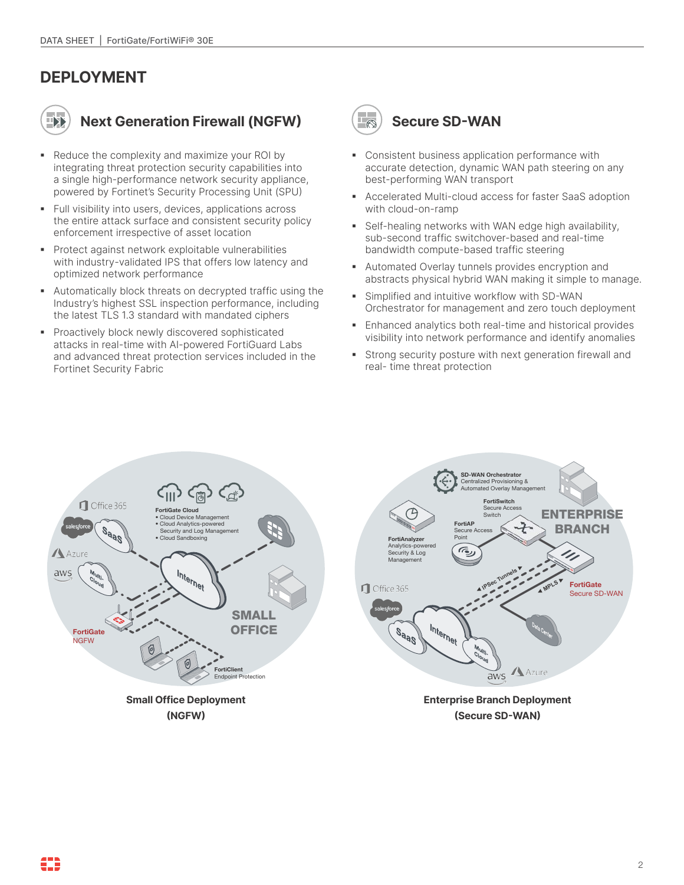# **DEPLOYMENT**



## **Next Generation Firewall (NGFW)**

- Reduce the complexity and maximize your ROI by integrating threat protection security capabilities into a single high-performance network security appliance, powered by Fortinet's Security Processing Unit (SPU)
- § Full visibility into users, devices, applications across the entire attack surface and consistent security policy enforcement irrespective of asset location
- § Protect against network exploitable vulnerabilities with industry-validated IPS that offers low latency and optimized network performance
- § Automatically block threats on decrypted traffic using the Industry's highest SSL inspection performance, including the latest TLS 1.3 standard with mandated ciphers
- § Proactively block newly discovered sophisticated attacks in real-time with AI-powered FortiGuard Labs and advanced threat protection services included in the Fortinet Security Fabric



#### **Secure SD-WAN**

- Consistent business application performance with accurate detection, dynamic WAN path steering on any best-performing WAN transport
- Accelerated Multi-cloud access for faster SaaS adoption with cloud-on-ramp
- Self-healing networks with WAN edge high availability, sub-second traffic switchover-based and real-time bandwidth compute-based traffic steering
- Automated Overlay tunnels provides encryption and abstracts physical hybrid WAN making it simple to manage.
- **•** Simplified and intuitive workflow with SD-WAN Orchestrator for management and zero touch deployment
- § Enhanced analytics both real-time and historical provides visibility into network performance and identify anomalies
- Strong security posture with next generation firewall and real- time threat protection





**Enterprise Branch Deployment (Secure SD-WAN)**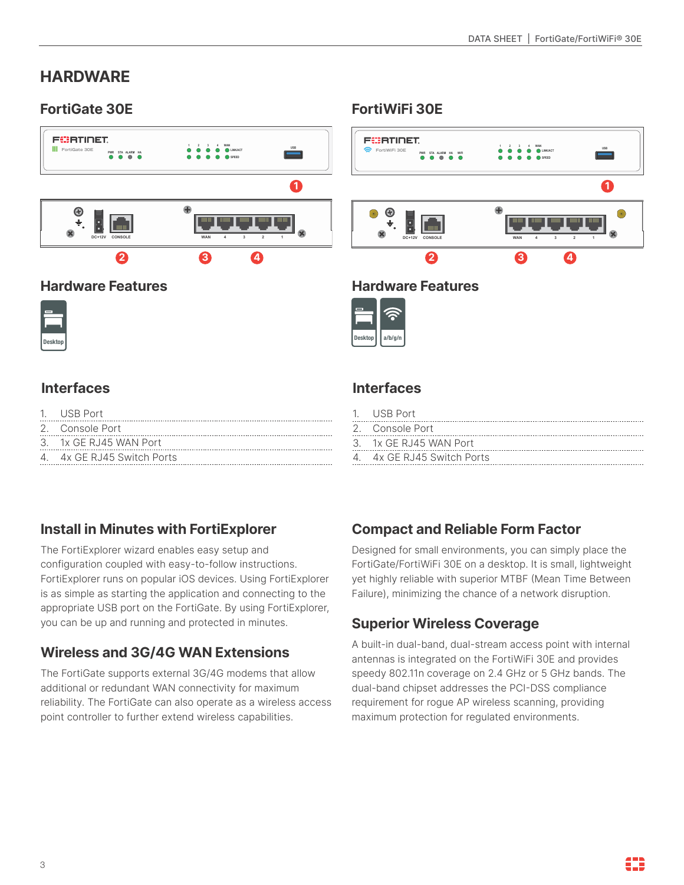# **HARDWARE**

# **FortiGate 30E FortiWiFi 30E**





## **Interfaces Interfaces**

| 1. USB Port                |
|----------------------------|
| 2. Console Port            |
| $3.$ 1x GF RJ45 WAN Port   |
| 4. 4x GE RJ45 Switch Ports |

 $a/b/g/n$ 

| 1. USB Port                |
|----------------------------|
| 2. Console Port            |
| 3. 1x GE RJ45 WAN Port     |
| 4. 4x GE RJ45 Switch Ports |

## **Install in Minutes with FortiExplorer**

The FortiExplorer wizard enables easy setup and configuration coupled with easy-to-follow instructions. FortiExplorer runs on popular iOS devices. Using FortiExplorer is as simple as starting the application and connecting to the appropriate USB port on the FortiGate. By using FortiExplorer, you can be up and running and protected in minutes.

## **Wireless and 3G/4G WAN Extensions**

The FortiGate supports external 3G/4G modems that allow additional or redundant WAN connectivity for maximum reliability. The FortiGate can also operate as a wireless access point controller to further extend wireless capabilities.

## **Compact and Reliable Form Factor**

Designed for small environments, you can simply place the FortiGate/FortiWiFi 30E on a desktop. It is small, lightweight yet highly reliable with superior MTBF (Mean Time Between Failure), minimizing the chance of a network disruption.

## **Superior Wireless Coverage**

A built-in dual-band, dual-stream access point with internal antennas is integrated on the FortiWiFi 30E and provides speedy 802.11n coverage on 2.4 GHz or 5 GHz bands. The dual-band chipset addresses the PCI-DSS compliance requirement for rogue AP wireless scanning, providing maximum protection for regulated environments.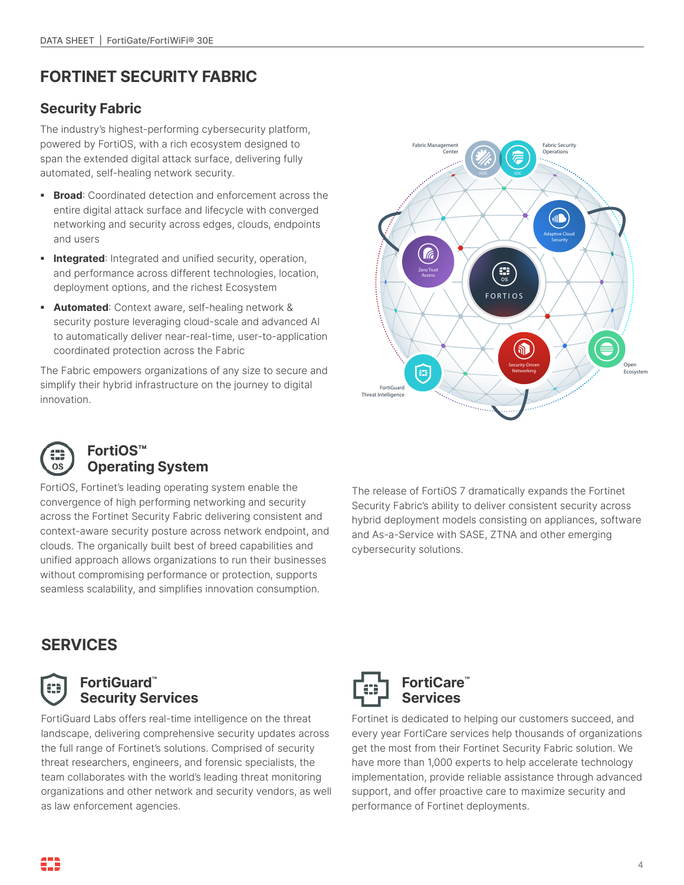# **FORTINET SECURITY FABRIC**

#### **Security Fabric**

The industry's highest-performing cybersecurity platform, powered by FortiOS, with a rich ecosystem designed to span the extended digital attack surface, delivering fully automated, self-healing network security.

- **Broad:** Coordinated detection and enforcement across the entire digital attack surface and lifecycle with converged networking and security across edges, clouds, endpoints and users
- **Integrated:** Integrated and unified security, operation, and performance across different technologies, location, deployment options, and the richest Ecosystem
- § **Automated**: Context aware, self-healing network & security posture leveraging cloud-scale and advanced AI to automatically deliver near-real-time, user-to-application coordinated protection across the Fabric

The Fabric empowers organizations of any size to secure and simplify their hybrid infrastructure on the journey to digital innovation.





#### **FortiOS™ Operating System**

FortiOS, Fortinet's leading operating system enable the convergence of high performing networking and security across the Fortinet Security Fabric delivering consistent and context-aware security posture across network endpoint, and clouds. The organically built best of breed capabilities and unified approach allows organizations to run their businesses without compromising performance or protection, supports seamless scalability, and simplifies innovation consumption.

The release of FortiOS 7 dramatically expands the Fortinet Security Fabric's ability to deliver consistent security across hybrid deployment models consisting on appliances, software and As-a-Service with SASE, ZTNA and other emerging cybersecurity solutions.

# **SERVICES**



#### **FortiGuard™ Security Services**

FortiGuard Labs offers real-time intelligence on the threat landscape, delivering comprehensive security updates across the full range of Fortinet's solutions. Comprised of security threat researchers, engineers, and forensic specialists, the team collaborates with the world's leading threat monitoring organizations and other network and security vendors, as well as law enforcement agencies.



**FortiCare™ Services**

Fortinet is dedicated to helping our customers succeed, and every year FortiCare services help thousands of organizations get the most from their Fortinet Security Fabric solution. We have more than 1,000 experts to help accelerate technology implementation, provide reliable assistance through advanced support, and offer proactive care to maximize security and performance of Fortinet deployments.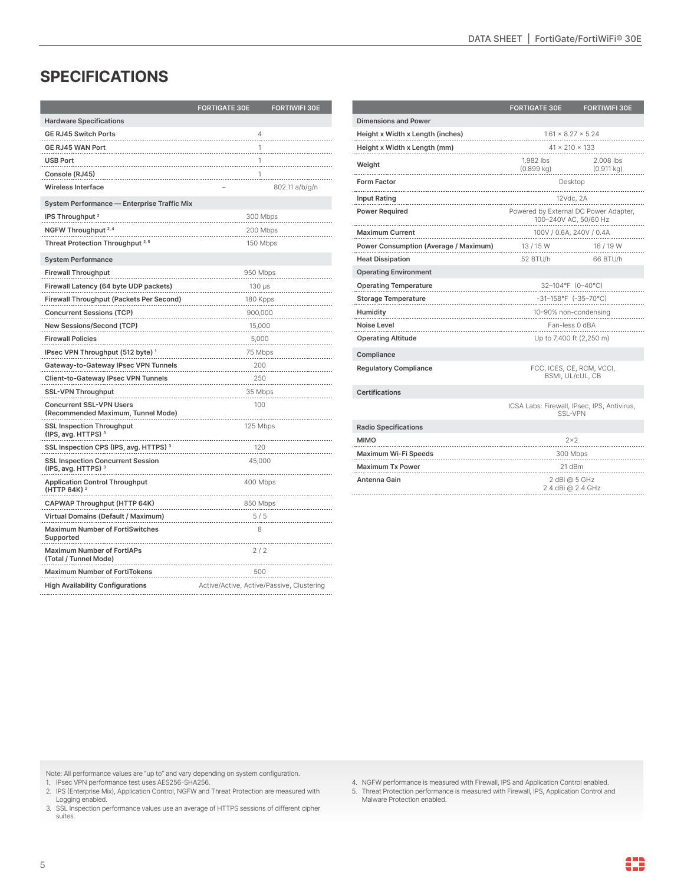# **SPECIFICATIONS**

|                                                                       | <b>FORTIGATE 30E</b>                      | <b>FORTIWIFI 30E</b> |
|-----------------------------------------------------------------------|-------------------------------------------|----------------------|
| <b>Hardware Specifications</b>                                        |                                           |                      |
| <b>GE RJ45 Switch Ports</b>                                           | 4                                         |                      |
| <b>GE RJ45 WAN Port</b>                                               | 1                                         |                      |
| <b>USB Port</b>                                                       | 1                                         |                      |
| Console (RJ45)                                                        | 1                                         |                      |
| <b>Wireless Interface</b>                                             |                                           | 802.11 a/b/g/n       |
| System Performance - Enterprise Traffic Mix                           |                                           |                      |
| IPS Throughput <sup>2</sup>                                           | 300 Mbps                                  |                      |
| NGFW Throughput 2, 4                                                  | 200 Mbps                                  |                      |
| Threat Protection Throughput <sup>2,5</sup>                           | 150 Mbps                                  |                      |
| <b>System Performance</b>                                             |                                           |                      |
| <b>Firewall Throughput</b>                                            | 950 Mbps                                  |                      |
| Firewall Latency (64 byte UDP packets)                                | 130 µs                                    |                      |
| Firewall Throughput (Packets Per Second)                              | 180 Kpps                                  |                      |
| <b>Concurrent Sessions (TCP)</b>                                      | 900,000                                   |                      |
| New Sessions/Second (TCP)                                             | 15,000                                    |                      |
| <b>Firewall Policies</b>                                              | 5,000                                     |                      |
| IPsec VPN Throughput (512 byte) <sup>1</sup>                          | 75 Mbps                                   |                      |
| Gateway-to-Gateway IPsec VPN Tunnels                                  | 200                                       |                      |
| <b>Client-to-Gateway IPsec VPN Tunnels</b>                            | 250                                       |                      |
| <b>SSL-VPN Throughput</b>                                             | 35 Mbps                                   |                      |
| <b>Concurrent SSL-VPN Users</b><br>(Recommended Maximum, Tunnel Mode) | 100                                       |                      |
| <b>SSL Inspection Throughput</b><br>(IPS, avg. HTTPS) $3$             | 125 Mbps                                  |                      |
| SSL Inspection CPS (IPS, avg. HTTPS) 3                                | 120                                       |                      |
| <b>SSL Inspection Concurrent Session</b><br>(IPS, avg. HTTPS) $3$     | 45,000                                    |                      |
| <b>Application Control Throughput</b><br>(HTTP 64K) <sup>2</sup>      | 400 Mbps                                  |                      |
| CAPWAP Throughput (HTTP 64K)                                          | 850 Mbps                                  |                      |
| Virtual Domains (Default / Maximum)                                   | 5/5                                       |                      |
| <b>Maximum Number of FortiSwitches</b><br>Supported                   | 8                                         |                      |
| <b>Maximum Number of FortiAPs</b><br>(Total / Tunnel Mode)            | 2/2                                       |                      |
| <b>Maximum Number of FortiTokens</b>                                  | 500                                       |                      |
| <b>High Availability Configurations</b>                               | Active/Active, Active/Passive, Clustering |                      |

|                                       | <b>FORTIGATE 30E</b>                                           | <b>FORTIWIFI 30E</b> |  |  |  |
|---------------------------------------|----------------------------------------------------------------|----------------------|--|--|--|
| <b>Dimensions and Power</b>           |                                                                |                      |  |  |  |
| Height x Width x Length (inches)      | $1.61 \times 8.27 \times 5.24$                                 |                      |  |  |  |
| Height x Width x Length (mm)          | $41 \times 210 \times 133$                                     |                      |  |  |  |
| Weight                                | 1.982 lbs<br>2.008 lbs<br>$(0.899 \text{ kg})$<br>(0.911 kg)   |                      |  |  |  |
| <b>Form Factor</b>                    | Desktop                                                        |                      |  |  |  |
| <b>Input Rating</b>                   | 12Vdc, 2A                                                      |                      |  |  |  |
| <b>Power Required</b>                 | Powered by External DC Power Adapter,<br>100-240V AC, 50/60 Hz |                      |  |  |  |
| <b>Maximum Current</b>                | 100V / 0.6A, 240V / 0.4A                                       |                      |  |  |  |
| Power Consumption (Average / Maximum) | 13 / 15 W                                                      | 16 / 19 W            |  |  |  |
| <b>Heat Dissipation</b>               | 52 BTU/h                                                       | 66 BTU/h             |  |  |  |
| <b>Operating Environment</b>          |                                                                |                      |  |  |  |
| <b>Operating Temperature</b>          | 32-104°F (0-40°C)                                              |                      |  |  |  |
| <b>Storage Temperature</b>            | $-31-158$ °F (-35-70°C)                                        |                      |  |  |  |
| Humidity                              | 10-90% non-condensing                                          |                      |  |  |  |
| Noise Level                           | Fan-less 0 dBA                                                 |                      |  |  |  |
| <b>Operating Altitude</b>             | Up to 7,400 ft (2,250 m)                                       |                      |  |  |  |
| Compliance                            |                                                                |                      |  |  |  |
| <b>Regulatory Compliance</b>          | FCC, ICES, CE, RCM, VCCI,<br>BSMI, UL/cUL, CB                  |                      |  |  |  |
| <b>Certifications</b>                 |                                                                |                      |  |  |  |
|                                       | ICSA Labs: Firewall, IPsec, IPS, Antivirus,<br>SSI-VPN         |                      |  |  |  |
| <b>Radio Specifications</b>           |                                                                |                      |  |  |  |
| <b>MIMO</b>                           | $2\times2$                                                     |                      |  |  |  |
| Maximum Wi-Fi Speeds                  | 300 Mbps                                                       |                      |  |  |  |
| <b>Maximum Tx Power</b>               | 21 dBm                                                         |                      |  |  |  |
| Antenna Gain                          | 2 dBi @ 5 GHz<br>2.4 dBi @ 2.4 GHz                             |                      |  |  |  |

Note: All performance values are "up to" and vary depending on system configuration.

1. IPsec VPN performance test uses AES256-SHA256.

2. IPS (Enterprise Mix), Application Control, NGFW and Threat Protection are measured with

- Logging enabled. 3. SSL Inspection performance values use an average of HTTPS sessions of different cipher
- suites.
- 4. NGFW performance is measured with Firewall, IPS and Application Control enabled.
- 5. Threat Protection performance is measured with Firewall, IPS, Application Control and Malware Protection enabled.